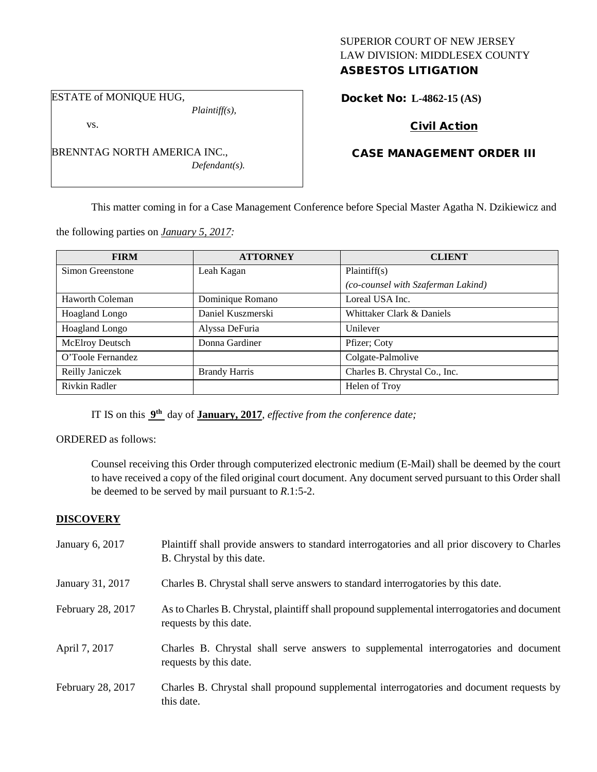## SUPERIOR COURT OF NEW JERSEY LAW DIVISION: MIDDLESEX COUNTY ASBESTOS LITIGATION

ESTATE of MONIQUE HUG,

vs.

*Plaintiff(s),*

*Defendant(s).*

Docket No: **L-4862-15 (AS)** 

# Civil Action

## CASE MANAGEMENT ORDER III

This matter coming in for a Case Management Conference before Special Master Agatha N. Dzikiewicz and

the following parties on *January 5, 2017:*

BRENNTAG NORTH AMERICA INC.,

| <b>FIRM</b>            | <b>ATTORNEY</b>      | <b>CLIENT</b>                      |
|------------------------|----------------------|------------------------------------|
| Simon Greenstone       | Leah Kagan           | Plaintiff(s)                       |
|                        |                      | (co-counsel with Szaferman Lakind) |
| Haworth Coleman        | Dominique Romano     | Loreal USA Inc.                    |
| Hoagland Longo         | Daniel Kuszmerski    | Whittaker Clark & Daniels          |
| Hoagland Longo         | Alyssa DeFuria       | Unilever                           |
| <b>McElroy Deutsch</b> | Donna Gardiner       | Pfizer; Coty                       |
| O'Toole Fernandez      |                      | Colgate-Palmolive                  |
| Reilly Janiczek        | <b>Brandy Harris</b> | Charles B. Chrystal Co., Inc.      |
| Rivkin Radler          |                      | Helen of Troy                      |

IT IS on this **9th** day of **January, 2017**, *effective from the conference date;*

ORDERED as follows:

Counsel receiving this Order through computerized electronic medium (E-Mail) shall be deemed by the court to have received a copy of the filed original court document. Any document served pursuant to this Order shall be deemed to be served by mail pursuant to *R*.1:5-2.

## **DISCOVERY**

| January 6, 2017   | Plaintiff shall provide answers to standard interrogatories and all prior discovery to Charles<br>B. Chrystal by this date. |
|-------------------|-----------------------------------------------------------------------------------------------------------------------------|
| January 31, 2017  | Charles B. Chrystal shall serve answers to standard interrogatories by this date.                                           |
| February 28, 2017 | As to Charles B. Chrystal, plaintiff shall propound supplemental interrogatories and document<br>requests by this date.     |
| April 7, 2017     | Charles B. Chrystal shall serve answers to supplemental interrogatories and document<br>requests by this date.              |
| February 28, 2017 | Charles B. Chrystal shall propound supplemental interrogatories and document requests by<br>this date.                      |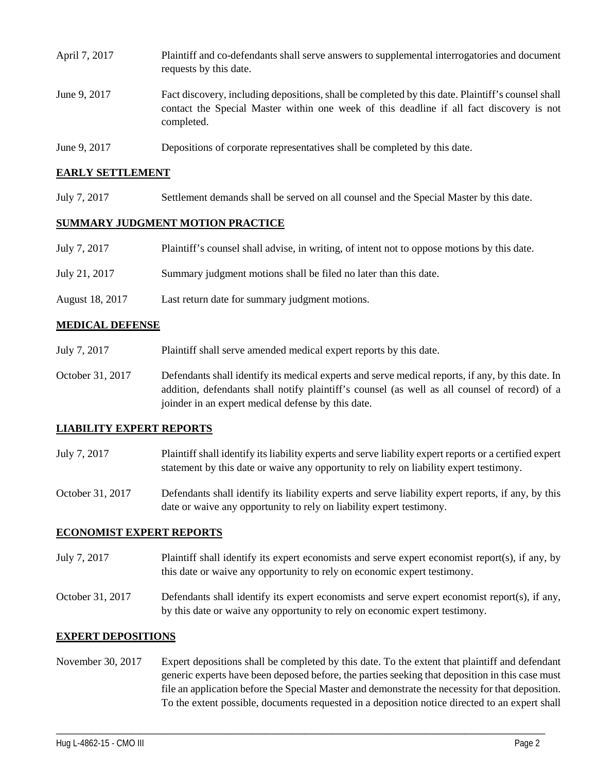| April 7, 2017 | Plaintiff and co-defendants shall serve answers to supplemental interrogatories and document<br>requests by this date.                                                                                      |
|---------------|-------------------------------------------------------------------------------------------------------------------------------------------------------------------------------------------------------------|
| June 9, 2017  | Fact discovery, including depositions, shall be completed by this date. Plaintiff's counsel shall<br>contact the Special Master within one week of this deadline if all fact discovery is not<br>completed. |
| June 9, 2017  | Depositions of corporate representatives shall be completed by this date.                                                                                                                                   |

## **EARLY SETTLEMENT**

July 7, 2017 Settlement demands shall be served on all counsel and the Special Master by this date.

### **SUMMARY JUDGMENT MOTION PRACTICE**

| July 7, 2017    | Plaintiff's counsel shall advise, in writing, of intent not to oppose motions by this date. |
|-----------------|---------------------------------------------------------------------------------------------|
| July 21, 2017   | Summary judgment motions shall be filed no later than this date.                            |
| August 18, 2017 | Last return date for summary judgment motions.                                              |

## **MEDICAL DEFENSE**

- July 7, 2017 Plaintiff shall serve amended medical expert reports by this date.
- October 31, 2017 Defendants shall identify its medical experts and serve medical reports, if any, by this date. In addition, defendants shall notify plaintiff's counsel (as well as all counsel of record) of a joinder in an expert medical defense by this date.

## **LIABILITY EXPERT REPORTS**

| July 7, 2017 | Plaintiff shall identify its liability experts and serve liability expert reports or a certified expert |
|--------------|---------------------------------------------------------------------------------------------------------|
|              | statement by this date or waive any opportunity to rely on liability expert testimony.                  |

October 31, 2017 Defendants shall identify its liability experts and serve liability expert reports, if any, by this date or waive any opportunity to rely on liability expert testimony.

### **ECONOMIST EXPERT REPORTS**

July 7, 2017 Plaintiff shall identify its expert economists and serve expert economist report(s), if any, by this date or waive any opportunity to rely on economic expert testimony.

October 31, 2017 Defendants shall identify its expert economists and serve expert economist report(s), if any, by this date or waive any opportunity to rely on economic expert testimony.

### **EXPERT DEPOSITIONS**

November 30, 2017 Expert depositions shall be completed by this date. To the extent that plaintiff and defendant generic experts have been deposed before, the parties seeking that deposition in this case must file an application before the Special Master and demonstrate the necessity for that deposition. To the extent possible, documents requested in a deposition notice directed to an expert shall

\_\_\_\_\_\_\_\_\_\_\_\_\_\_\_\_\_\_\_\_\_\_\_\_\_\_\_\_\_\_\_\_\_\_\_\_\_\_\_\_\_\_\_\_\_\_\_\_\_\_\_\_\_\_\_\_\_\_\_\_\_\_\_\_\_\_\_\_\_\_\_\_\_\_\_\_\_\_\_\_\_\_\_\_\_\_\_\_\_\_\_\_\_\_\_\_\_\_\_\_\_\_\_\_\_\_\_\_\_\_